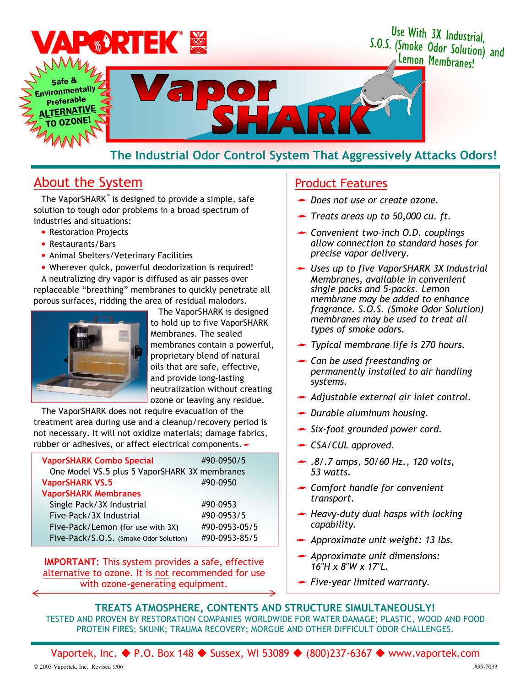

# The Industrial Odor Control System That Aggressively Attacks Odors!

# About the System **Product Features**

The VaporSHARK™ is designed to provide a simple, safe solution to tough odor problems in a broad spectrum of industries and situations:

- Restoration Projects
- Restaurants/Bars
- Animal Shelters/Veterinary Facilities
- Wherever quick, powerful deodorization is required!

A neutralizing dry vapor is diffused as air passes over replaceable "breathing" membranes to quickly penetrate all porous surfaces, ridding the area of residual malodors.



The VaporSHARK is designed to hold up to five VaporSHARK Membranes. The sealed membranes contain a powerful, proprietary blend of natural oils that are safe, effective, and provide long-lasting neutralization without creating ozone or leaving any residue.

The VaporSHARK does not require evacuation of the treatment area during use and a cleanup/recovery period is not necessary. It will not oxidize materials; damage fabrics, rubber or adhesives, or affect electrical components.

| <b>VaporSHARK Combo Special</b>               | #90-0950/5    |
|-----------------------------------------------|---------------|
| One Model VS.5 plus 5 VaporSHARK 3X membranes |               |
| <b>VaporSHARK VS.5</b>                        | #90-0950      |
| <b>VaporSHARK Membranes</b>                   |               |
| Single Pack/3X Industrial                     | #90-0953      |
| Five-Pack/3X Industrial                       | #90-0953/5    |
| Five-Pack/Lemon (for use with 3X)             | #90-0953-05/5 |
| Five-Pack/S.O.S. (Smoke Odor Solution)        | #90-0953-85/5 |

IMPORTANT: This system provides a safe, effective alternative to ozone. It is not recommended for use with ozone-generating equipment.

- Does not use or create ozone.
- $\rightarrow$  Treats areas up to 50,000 cu. ft.
- ← Convenient two-inch O.D. couplings allow connection to standard hoses for precise vapor delivery.
- ← Uses up to five VaporSHARK 3X Industrial Membranes, available in convenient single packs and 5-packs. Lemon membrane may be added to enhance fragrance. S.O.S. (Smoke Odor Solution) membranes may be used to treat all types of smoke odors.
- **★** Typical membrane life is 270 hours.
- Can be used freestanding or permanently installed to air handling systems.
- Adjustable external air inlet control.
- Durable aluminum housing.
- Six-foot grounded power cord.
- ← CSA/CUL approved.
- $\rightarrow$  .8/.7 amps, 50/60 Hz., 120 volts, 53 watts.
- Comfort handle for convenient transport.
- $\rightarrow$  Heavy-duty dual hasps with locking capability.
- Approximate unit weight: 13 lbs.
- $\rightarrow$  Approximate unit dimensions: 16"H x 8"W x 17"L.
- Five-year limited warranty.

### TREATS ATMOSPHERE, CONTENTS AND STRUCTURE SIMULTANEOUSLY!

TESTED AND PROVEN BY RESTORATION COMPANIES WORLDWIDE FOR WATER DAMAGE; PLASTIC, WOOD AND FOOD PROTEIN FIRES; SKUNK; TRAUMA RECOVERY; MORGUE AND OTHER DIFFICULT ODOR CHALLENGES.

Vaportek, Inc. ◆ P.O. Box 148 ◆ Sussex, WI 53089 ◆ (800)237-6367 ◆ www.vaportek.com